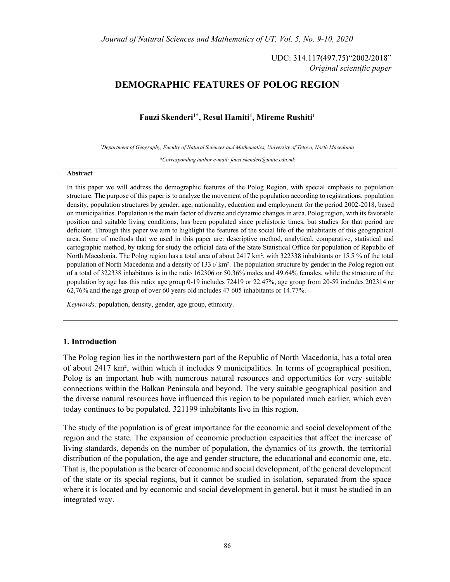UDC: 314.117(497.75)"2002/2018" Original scientific paper

# DEMOGRAPHIC FEATURES OF POLOG REGION

## Fauzi Skenderi<sup>1\*</sup>, Resul Hamiti<sup>1</sup>, Mireme Rushiti<sup>1</sup>

1Department of Geography, Faculty of Natural Sciences and Mathematics, University of Tetovo, North Macedonia

\*Corresponding author e-mail: fauzi.skenderi@unite.edu.mk

#### Abstract

In this paper we will address the demographic features of the Polog Region, with special emphasis to population structure. The purpose of this paper is to analyze the movement of the population according to registrations, population density, population structures by gender, age, nationality, education and employment for the period 2002-2018, based on municipalities. Population is the main factor of diverse and dynamic changes in area. Polog region, with its favorable position and suitable living conditions, has been populated since prehistoric times, but studies for that period are deficient. Through this paper we aim to highlight the features of the social life of the inhabitants of this geographical area. Some of methods that we used in this paper are: descriptive method, analytical, comparative, statistical and cartographic method, by taking for study the official data of the State Statistical Office for population of Republic of North Macedonia. The Polog region has a total area of about 2417 km², with 322338 inhabitants or 15.5 % of the total population of North Macedonia and a density of 133 i/ km². The population structure by gender in the Polog region out of a total of 322338 inhabitants is in the ratio 162306 or 50.36% males and 49.64% females, while the structure of the population by age has this ratio: age group 0-19 includes 72419 or 22.47%, age group from 20-59 includes 202314 or 62,76% and the age group of over 60 years old includes 47 605 inhabitants or 14.77%.

Keywords: population, density, gender, age group, ethnicity.

### 1. Introduction

The Polog region lies in the northwestern part of the Republic of North Macedonia, has a total area of about 2417 km², within which it includes 9 municipalities. In terms of geographical position, Polog is an important hub with numerous natural resources and opportunities for very suitable connections within the Balkan Peninsula and beyond. The very suitable geographical position and the diverse natural resources have influenced this region to be populated much earlier, which even today continues to be populated. 321199 inhabitants live in this region.

The study of the population is of great importance for the economic and social development of the region and the state. The expansion of economic production capacities that affect the increase of living standards, depends on the number of population, the dynamics of its growth, the territorial distribution of the population, the age and gender structure, the educational and economic one, etc. That is, the population is the bearer of economic and social development, of the general development of the state or its special regions, but it cannot be studied in isolation, separated from the space where it is located and by economic and social development in general, but it must be studied in an integrated way.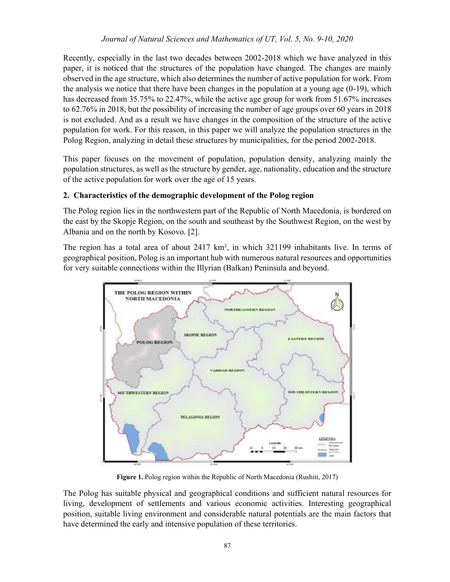## Journal of Natural Sciences and Mathematics of UT, Vol. 5, No. 9-10, 2020

Recently, especially in the last two decades between 2002-2018 which we have analyzed in this paper, it is noticed that the structures of the population have changed. The changes are mainly observed in the age structure, which also determines the number of active population for work. From the analysis we notice that there have been changes in the population at a young age (0-19), which has decreased from 35.75% to 22.47%, while the active age group for work from 51.67% increases to 62.76% in 2018, but the possibility of increasing the number of age groups over 60 years in 2018 is not excluded. And as a result we have changes in the composition of the structure of the active population for work. For this reason, in this paper we will analyze the population structures in the Polog Region, analyzing in detail these structures by municipalities, for the period 2002-2018.

This paper focuses on the movement of population, population density, analyzing mainly the population structures, as well as the structure by gender, age, nationality, education and the structure of the active population for work over the age of 15 years.

## 2. Characteristics of the demographic development of the Polog region

The Polog region lies in the northwestern part of the Republic of North Macedonia, is bordered on the east by the Skopje Region, on the south and southeast by the Southwest Region, on the west by Albania and on the north by Kosovo. [2].

The region has a total area of about 2417 km², in which 321199 inhabitants live. In terms of geographical position, Polog is an important hub with numerous natural resources and opportunities for very suitable connections within the Illyrian (Balkan) Peninsula and beyond.



Figure 1. Polog region within the Republic of North Macedonia (Rushiti, 2017)

The Polog has suitable physical and geographical conditions and sufficient natural resources for living, development of settlements and various economic activities. Interesting geographical position, suitable living environment and considerable natural potentials are the main factors that have determined the early and intensive population of these territories.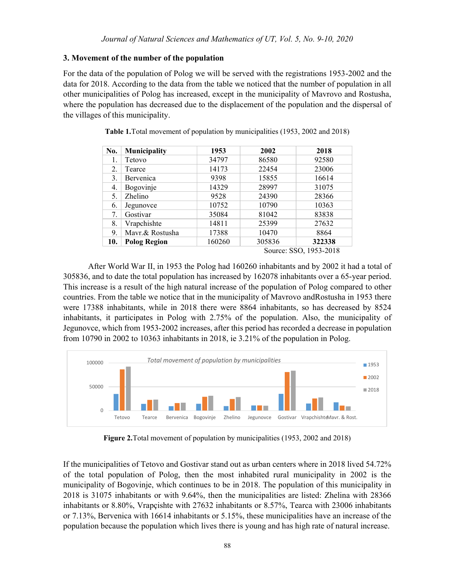## 3. Movement of the number of the population

For the data of the population of Polog we will be served with the registrations 1953-2002 and the data for 2018. According to the data from the table we noticed that the number of population in all other municipalities of Polog has increased, except in the municipality of Mavrovo and Rostusha, where the population has decreased due to the displacement of the population and the dispersal of the villages of this municipality.

| No. | <b>Municipality</b> | 1953   | 2002   | 2018                   |
|-----|---------------------|--------|--------|------------------------|
| 1.  | Tetovo              | 34797  | 86580  | 92580                  |
| 2.  | Tearce              | 14173  | 22454  | 23006                  |
| 3.  | Bervenica           | 9398   | 15855  | 16614                  |
| 4.  | Bogovinje           | 14329  | 28997  | 31075                  |
| 5.  | Zhelino             | 9528   | 24390  | 28366                  |
| 6.  | Jegunovce           | 10752  | 10790  | 10363                  |
| 7.  | Gostivar            | 35084  | 81042  | 83838                  |
| 8.  | Vrapchishte         | 14811  | 25399  | 27632                  |
| 9.  | Mavr.& Rostusha     | 17388  | 10470  | 8864                   |
| 10. | <b>Polog Region</b> | 160260 | 305836 | 322338                 |
|     |                     |        |        | Source: SSO, 1953-2018 |

Table 1.Total movement of population by municipalities (1953, 2002 and 2018)

After World War II, in 1953 the Polog had 160260 inhabitants and by 2002 it had a total of 305836, and to date the total population has increased by 162078 inhabitants over a 65-year period. This increase is a result of the high natural increase of the population of Polog compared to other countries. From the table we notice that in the municipality of Mavrovo andRostusha in 1953 there were 17388 inhabitants, while in 2018 there were 8864 inhabitants, so has decreased by 8524 inhabitants, it participates in Polog with 2.75% of the population. Also, the municipality of Jegunovce, which from 1953-2002 increases, after this period has recorded a decrease in population from 10790 in 2002 to 10363 inhabitants in 2018, ie 3.21% of the population in Polog.



Figure 2.Total movement of population by municipalities (1953, 2002 and 2018)

If the municipalities of Tetovo and Gostivar stand out as urban centers where in 2018 lived 54.72% of the total population of Polog, then the most inhabited rural municipality in 2002 is the municipality of Bogovinje, which continues to be in 2018. The population of this municipality in 2018 is 31075 inhabitants or with 9.64%, then the municipalities are listed: Zhelina with 28366 inhabitants or 8.80%, Vrapçishte with 27632 inhabitants or 8.57%, Tearca with 23006 inhabitants or 7.13%, Bervenica with 16614 inhabitants or 5.15%, these municipalities have an increase of the population because the population which lives there is young and has high rate of natural increase.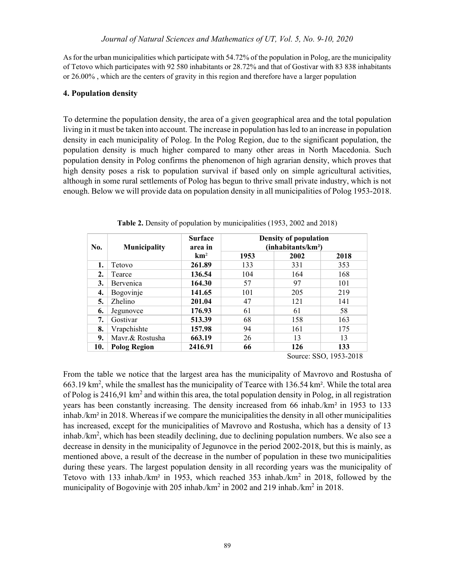As for the urban municipalities which participate with 54.72% of the population in Polog, are the municipality of Tetovo which participates with 92 580 inhabitants or 28.72% and that of Gostivar with 83 838 inhabitants or 26.00% , which are the centers of gravity in this region and therefore have a larger population

### 4. Population density

To determine the population density, the area of a given geographical area and the total population living in it must be taken into account. The increase in population has led to an increase in population density in each municipality of Polog. In the Polog Region, due to the significant population, the population density is much higher compared to many other areas in North Macedonia. Such population density in Polog confirms the phenomenon of high agrarian density, which proves that high density poses a risk to population survival if based only on simple agricultural activities, although in some rural settlements of Polog has begun to thrive small private industry, which is not enough. Below we will provide data on population density in all municipalities of Polog 1953-2018.

| No. | <b>Municipality</b> | <b>Surface</b><br>area in |      | Density of population<br>(inhabitants/km <sup>2</sup> ) |      |
|-----|---------------------|---------------------------|------|---------------------------------------------------------|------|
|     |                     | km <sup>2</sup>           | 1953 | 2002                                                    | 2018 |
| 1.  | Tetovo              | 261.89                    | 133  | 331                                                     | 353  |
| 2.  | Tearce              | 136.54                    | 104  | 164                                                     | 168  |
| 3.  | Bervenica           | 164.30                    | 57   | 97                                                      | 101  |
| 4.  | Bogovinje           | 141.65                    | 101  | 205                                                     | 219  |
| 5.  | Zhelino             | 201.04                    | 47   | 121                                                     | 141  |
| 6.  | Jegunovce           | 176.93                    | 61   | 61                                                      | 58   |
| 7.  | Gostivar            | 513.39                    | 68   | 158                                                     | 163  |
| 8.  | Vrapchishte         | 157.98                    | 94   | 161                                                     | 175  |
| 9.  | Mavr.& Rostusha     | 663.19                    | 26   | 13                                                      | 13   |
| 10. | <b>Polog Region</b> | 2416.91                   | 66   | 126                                                     | 133  |

Table 2. Density of population by municipalities (1953, 2002 and 2018)

Source: SSO, 1953-2018

From the table we notice that the largest area has the municipality of Mavrovo and Rostusha of 663.19 km2 , while the smallest has the municipality of Tearce with 136.54 km². While the total area of Polog is 2416,91 km<sup>2</sup> and within this area, the total population density in Polog, in all registration years has been constantly increasing. The density increased from 66 inhab./km² in 1953 to 133 inhab./km² in 2018. Whereas if we compare the municipalities the density in all other municipalities has increased, except for the municipalities of Mavrovo and Rostusha, which has a density of 13 inhab./km<sup>2</sup>, which has been steadily declining, due to declining population numbers. We also see a decrease in density in the municipality of Jegunovce in the period 2002-2018, but this is mainly, as mentioned above, a result of the decrease in the number of population in these two municipalities during these years. The largest population density in all recording years was the municipality of Tetovo with 133 inhab./km² in 1953, which reached 353 inhab./km<sup>2</sup> in 2018, followed by the municipality of Bogovinje with 205 inhab./km<sup>2</sup> in 2002 and 219 inhab./km<sup>2</sup> in 2018.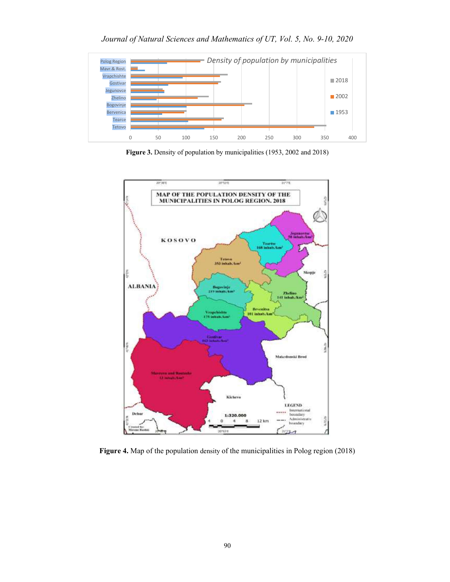Journal of Natural Sciences and Mathematics of UT, Vol. 5, No. 9-10, 2020



Figure 3. Density of population by municipalities (1953, 2002 and 2018)



Figure 4. Map of the population density of the municipalities in Polog region (2018)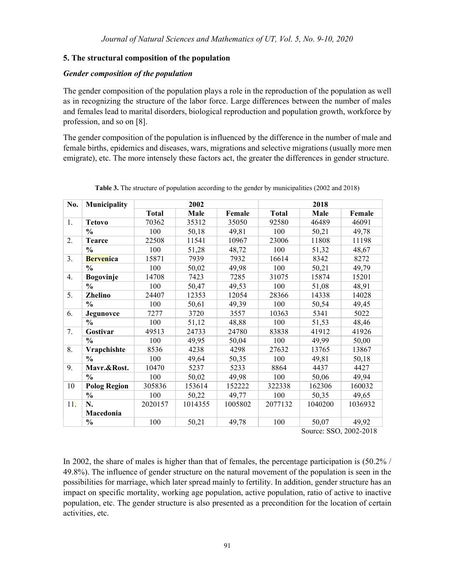# 5. The structural composition of the population

## Gender composition of the population

The gender composition of the population plays a role in the reproduction of the population as well as in recognizing the structure of the labor force. Large differences between the number of males and females lead to marital disorders, biological reproduction and population growth, workforce by profession, and so on [8].

The gender composition of the population is influenced by the difference in the number of male and female births, epidemics and diseases, wars, migrations and selective migrations (usually more men emigrate), etc. The more intensely these factors act, the greater the differences in gender structure.

| No.             | <b>Municipality</b> |              | 2002    |         |              | 2018    |         |
|-----------------|---------------------|--------------|---------|---------|--------------|---------|---------|
|                 |                     | <b>Total</b> | Male    | Female  | <b>Total</b> | Male    | Female  |
| 1.              | <b>Tetovo</b>       | 70362        | 35312   | 35050   | 92580        | 46489   | 46091   |
|                 | $\frac{0}{0}$       | 100          | 50,18   | 49,81   | 100          | 50,21   | 49,78   |
| 2.              | <b>Tearce</b>       | 22508        | 11541   | 10967   | 23006        | 11808   | 11198   |
|                 | $\frac{6}{6}$       | 100          | 51,28   | 48,72   | 100          | 51,32   | 48,67   |
| 3.              | <b>Bervenica</b>    | 15871        | 7939    | 7932    | 16614        | 8342    | 8272    |
|                 | $\frac{6}{6}$       | 100          | 50,02   | 49,98   | 100          | 50,21   | 49,79   |
| 4.              | <b>Bogovinje</b>    | 14708        | 7423    | 7285    | 31075        | 15874   | 15201   |
|                 | $\frac{0}{0}$       | 100          | 50,47   | 49,53   | 100          | 51,08   | 48,91   |
| 5.              | Zhelino             | 24407        | 12353   | 12054   | 28366        | 14338   | 14028   |
|                 | $\frac{0}{0}$       | 100          | 50,61   | 49,39   | 100          | 50,54   | 49,45   |
| 6.              | Jegunovce           | 7277         | 3720    | 3557    | 10363        | 5341    | 5022    |
|                 | $\frac{6}{6}$       | 100          | 51,12   | 48,88   | 100          | 51,53   | 48,46   |
| 7.              | Gostivar            | 49513        | 24733   | 24780   | 83838        | 41912   | 41926   |
|                 | $\frac{0}{0}$       | 100          | 49,95   | 50,04   | 100          | 49,99   | 50,00   |
| 8.              | Vrapchishte         | 8536         | 4238    | 4298    | 27632        | 13765   | 13867   |
|                 | $\frac{0}{0}$       | 100          | 49,64   | 50,35   | 100          | 49,81   | 50,18   |
| 9.              | Mavr.&Rost.         | 10470        | 5237    | 5233    | 8864         | 4437    | 4427    |
|                 | $\frac{0}{0}$       | 100          | 50,02   | 49,98   | 100          | 50,06   | 49,94   |
| 10              | <b>Polog Region</b> | 305836       | 153614  | 152222  | 322338       | 162306  | 160032  |
|                 | $\frac{0}{0}$       | 100          | 50,22   | 49,77   | 100          | 50,35   | 49,65   |
| <sup>11</sup> . | N.                  | 2020157      | 1014355 | 1005802 | 2077132      | 1040200 | 1036932 |
|                 | Macedonia           |              |         |         |              |         |         |
|                 | $\frac{0}{0}$       | 100          | 50,21   | 49,78   | 100          | 50,07   | 49,92   |

Table 3. The structure of population according to the gender by municipalities (2002 and 2018)

Source: SSO, 2002-2018

In 2002, the share of males is higher than that of females, the percentage participation is (50.2% / 49.8%). The influence of gender structure on the natural movement of the population is seen in the possibilities for marriage, which later spread mainly to fertility. In addition, gender structure has an impact on specific mortality, working age population, active population, ratio of active to inactive population, etc. The gender structure is also presented as a precondition for the location of certain activities, etc.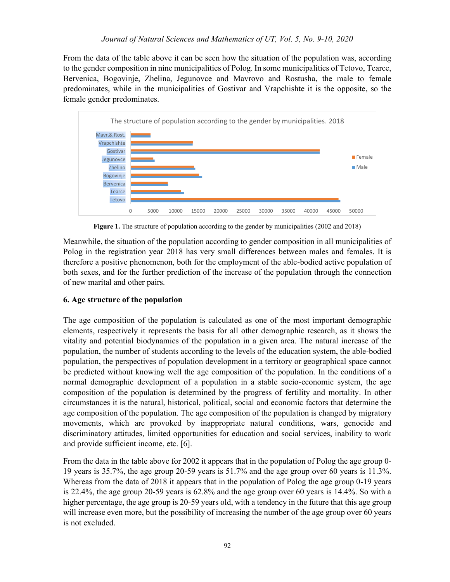From the data of the table above it can be seen how the situation of the population was, according to the gender composition in nine municipalities of Polog. In some municipalities of Tetovo, Tearce, Bervenica, Bogovinje, Zhelina, Jegunovce and Mavrovo and Rostusha, the male to female predominates, while in the municipalities of Gostivar and Vrapchishte it is the opposite, so the female gender predominates.



Figure 1. The structure of population according to the gender by municipalities (2002 and 2018)

Meanwhile, the situation of the population according to gender composition in all municipalities of Polog in the registration year 2018 has very small differences between males and females. It is therefore a positive phenomenon, both for the employment of the able-bodied active population of both sexes, and for the further prediction of the increase of the population through the connection of new marital and other pairs.

# 6. Age structure of the population

The age composition of the population is calculated as one of the most important demographic elements, respectively it represents the basis for all other demographic research, as it shows the vitality and potential biodynamics of the population in a given area. The natural increase of the population, the number of students according to the levels of the education system, the able-bodied population, the perspectives of population development in a territory or geographical space cannot be predicted without knowing well the age composition of the population. In the conditions of a normal demographic development of a population in a stable socio-economic system, the age composition of the population is determined by the progress of fertility and mortality. In other circumstances it is the natural, historical, political, social and economic factors that determine the age composition of the population. The age composition of the population is changed by migratory movements, which are provoked by inappropriate natural conditions, wars, genocide and discriminatory attitudes, limited opportunities for education and social services, inability to work and provide sufficient income, etc. [6].

From the data in the table above for 2002 it appears that in the population of Polog the age group 0- 19 years is 35.7%, the age group 20-59 years is 51.7% and the age group over 60 years is 11.3%. Whereas from the data of 2018 it appears that in the population of Polog the age group 0-19 years is 22.4%, the age group 20-59 years is 62.8% and the age group over 60 years is 14.4%. So with a higher percentage, the age group is 20-59 years old, with a tendency in the future that this age group will increase even more, but the possibility of increasing the number of the age group over 60 years is not excluded.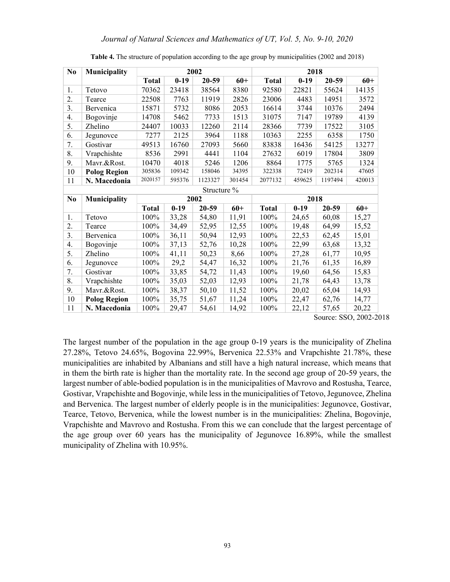| N <sub>0</sub> | Municipality        |              |        | 2002        |        |              | 2018   |           |        |
|----------------|---------------------|--------------|--------|-------------|--------|--------------|--------|-----------|--------|
|                |                     | <b>Total</b> | $0-19$ | $20 - 59$   | $60+$  | <b>Total</b> | $0-19$ | $20 - 59$ | $60+$  |
| 1.             | Tetovo              | 70362        | 23418  | 38564       | 8380   | 92580        | 22821  | 55624     | 14135  |
| 2.             | Tearce              | 22508        | 7763   | 11919       | 2826   | 23006        | 4483   | 14951     | 3572   |
| 3.             | Bervenica           | 15871        | 5732   | 8086        | 2053   | 16614        | 3744   | 10376     | 2494   |
| 4.             | Bogovinje           | 14708        | 5462   | 7733        | 1513   | 31075        | 7147   | 19789     | 4139   |
| 5.             | Zhelino             | 24407        | 10033  | 12260       | 2114   | 28366        | 7739   | 17522     | 3105   |
| 6.             | Jegunovce           | 7277         | 2125   | 3964        | 1188   | 10363        | 2255   | 6358      | 1750   |
| 7.             | Gostivar            | 49513        | 16760  | 27093       | 5660   | 83838        | 16436  | 54125     | 13277  |
| 8.             | Vrapchishte         | 8536         | 2991   | 4441        | 1104   | 27632        | 6019   | 17804     | 3809   |
| 9.             | Mavr.&Rost.         | 10470        | 4018   | 5246        | 1206   | 8864         | 1775   | 5765      | 1324   |
| 10             | <b>Polog Region</b> | 305836       | 109342 | 158046      | 34395  | 322338       | 72419  | 202314    | 47605  |
| 11             | N. Macedonia        | 2020157      | 595376 | 1123327     | 301454 | 2077132      | 459625 | 1197494   | 420013 |
|                |                     |              |        | Structure % |        |              |        |           |        |
| N <sub>0</sub> | Municipality        |              |        | 2002        |        |              | 2018   |           |        |
|                |                     | <b>Total</b> | $0-19$ | 20-59       | $60+$  | <b>Total</b> | $0-19$ | 20-59     | $60+$  |
| 1.             | Tetovo              | 100%         | 33,28  | 54,80       | 11,91  | 100%         | 24,65  | 60,08     | 15,27  |
| 2.             | Tearce              | 100%         | 34,49  | 52,95       | 12,55  | 100%         | 19,48  | 64,99     | 15,52  |
| 3.             | Bervenica           | 100%         | 36,11  | 50,94       | 12,93  | 100%         | 22,53  | 62,45     | 15,01  |
| 4.             | Bogovinje           | 100%         | 37,13  | 52,76       | 10,28  | 100%         | 22,99  | 63,68     | 13,32  |
| 5.             | Zhelino             | 100%         | 41,11  | 50,23       | 8,66   | 100%         | 27,28  | 61,77     | 10,95  |
| 6.             | Jegunovce           | 100%         | 29,2   | 54,47       | 16,32  | 100%         | 21,76  | 61,35     | 16,89  |
| 7.             | Gostivar            | 100%         | 33,85  | 54,72       | 11,43  | 100%         | 19,60  | 64,56     | 15,83  |
| 8.             | Vrapchishte         | 100%         | 35,03  | 52,03       | 12,93  | 100%         | 21,78  | 64,43     | 13,78  |
| 9.             | Mavr.&Rost.         | 100%         | 38,37  | 50,10       | 11,52  | 100%         | 20,02  | 65,04     | 14,93  |
| 10             | <b>Polog Region</b> | 100%         | 35,75  | 51,67       | 11,24  | 100%         | 22,47  | 62,76     | 14,77  |
| 11             | N. Macedonia        | 100%         | 29,47  | 54,61       | 14,92  | 100%         | 22,12  | 57,65     | 20,22  |

Table 4. The structure of population according to the age group by municipalities (2002 and 2018)

Source: SSO, 2002-2018

The largest number of the population in the age group 0-19 years is the municipality of Zhelina 27.28%, Tetovo 24.65%, Bogovina 22.99%, Bervenica 22.53% and Vrapchishte 21.78%, these municipalities are inhabited by Albanians and still have a high natural increase, which means that in them the birth rate is higher than the mortality rate. In the second age group of 20-59 years, the largest number of able-bodied population is in the municipalities of Mavrovo and Rostusha, Tearce, Gostivar, Vrapchishte and Bogovinje, while less in the municipalities of Tetovo, Jegunovce, Zhelina and Bervenica. The largest number of elderly people is in the municipalities: Jegunovce, Gostivar, Tearce, Tetovo, Bervenica, while the lowest number is in the municipalities: Zhelina, Bogovinje, Vrapchishte and Mavrovo and Rostusha. From this we can conclude that the largest percentage of the age group over 60 years has the municipality of Jegunovce 16.89%, while the smallest municipality of Zhelina with 10.95%.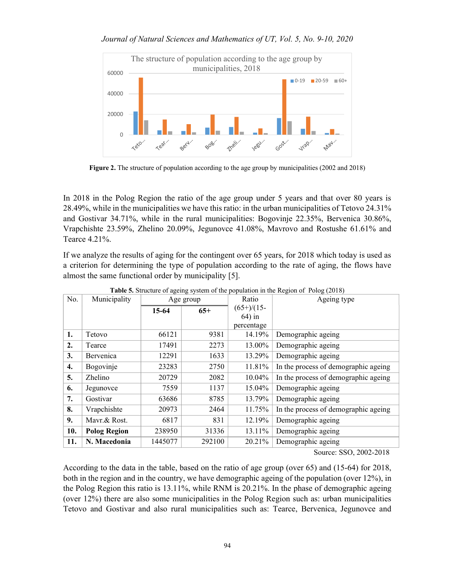### Journal of Natural Sciences and Mathematics of UT, Vol. 5, No. 9-10, 2020



Figure 2. The structure of population according to the age group by municipalities (2002 and 2018)

In 2018 in the Polog Region the ratio of the age group under 5 years and that over 80 years is 28.49%, while in the municipalities we have this ratio: in the urban municipalities of Tetovo 24.31% and Gostivar 34.71%, while in the rural municipalities: Bogovinje 22.35%, Bervenica 30.86%, Vrapchishte 23.59%, Zhelino 20.09%, Jegunovce 41.08%, Mavrovo and Rostushe 61.61% and Tearce 4.21%.

If we analyze the results of aging for the contingent over 65 years, for 2018 which today is used as a criterion for determining the type of population according to the rate of aging, the flows have almost the same functional order by municipality [5].

| No.              | Municipality        |         | Age group | Ratio        | Ageing type                          |
|------------------|---------------------|---------|-----------|--------------|--------------------------------------|
|                  |                     | 15-64   | $65+$     | $(65+)/(15-$ |                                      |
|                  |                     |         |           | $64$ ) in    |                                      |
|                  |                     |         |           | percentage   |                                      |
| 1.               | Tetovo              | 66121   | 9381      | 14.19%       | Demographic ageing                   |
| $\overline{2}$ . | Tearce              | 17491   | 2273      | 13.00%       | Demographic ageing                   |
| 3.               | Bervenica           | 12291   | 1633      | 13.29%       | Demographic ageing                   |
| 4.               | Bogovinje           | 23283   | 2750      | 11.81%       | In the process of demographic ageing |
| 5.               | <b>Zhelino</b>      | 20729   | 2082      | 10.04%       | In the process of demographic ageing |
| 6.               | Jegunovce           | 7559    | 1137      | 15.04%       | Demographic ageing                   |
| 7.               | Gostivar            | 63686   | 8785      | 13.79%       | Demographic ageing                   |
| 8.               | Vrapchishte         | 20973   | 2464      | 11.75%       | In the process of demographic ageing |
| 9.               | Mavr.& Rost.        | 6817    | 831       | 12.19%       | Demographic ageing                   |
| 10.              | <b>Polog Region</b> | 238950  | 31336     | 13.11%       | Demographic ageing                   |
| 11.              | N. Macedonia        | 1445077 | 292100    | 20.21%       | Demographic ageing                   |

Table 5. Structure of ageing system of the population in the Region of Polog (2018)

Source: SSO, 2002-2018

According to the data in the table, based on the ratio of age group (over 65) and (15-64) for 2018, both in the region and in the country, we have demographic ageing of the population (over 12%), in the Polog Region this ratio is 13.11%, while RNM is 20.21%. In the phase of demographic ageing (over 12%) there are also some municipalities in the Polog Region such as: urban municipalities Tetovo and Gostivar and also rural municipalities such as: Tearce, Bervenica, Jegunovce and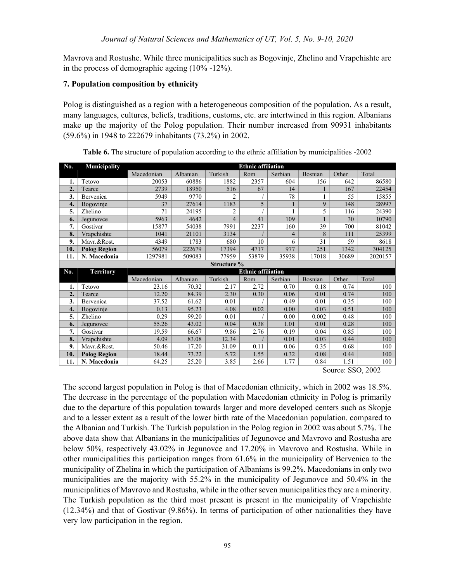Mavrova and Rostushe. While three municipalities such as Bogovinje, Zhelino and Vrapchishte are in the process of demographic ageing (10% -12%).

## 7. Population composition by ethnicity

Polog is distinguished as a region with a heterogeneous composition of the population. As a result, many languages, cultures, beliefs, traditions, customs, etc. are intertwined in this region. Albanians make up the majority of the Polog population. Their number increased from 90931 inhabitants (59.6%) in 1948 to 222679 inhabitants (73.2%) in 2002.

| No. | Municipality        |            |          |                | <b>Ethnic affiliation</b> |         |         |       |         |
|-----|---------------------|------------|----------|----------------|---------------------------|---------|---------|-------|---------|
|     |                     | Macedonian | Albanian | Turkish        | Rom                       | Serbian | Bosnian | Other | Total   |
| ı.  | Tetovo              | 20053      | 60886    | 1882           | 2357                      | 604     | 156     | 642   | 86580   |
| 2.  | Tearce              | 2739       | 18950    | 516            | 67                        | 14      |         | 167   | 22454   |
| 3.  | Bervenica           | 5949       | 9770     | 2              |                           | 78      |         | 55    | 15855   |
| 4.  | Bogovinje           | 37         | 27614    | 1183           | 5                         |         | 9       | 148   | 28997   |
| 5.  | Zhelino             | 71         | 24195    | $\overline{c}$ |                           |         | 5       | 116   | 24390   |
| 6.  | Jegunovce           | 5963       | 4642     | $\overline{4}$ | 41                        | 109     |         | 30    | 10790   |
| 7.  | Gostivar            | 15877      | 54038    | 7991           | 2237                      | 160     | 39      | 700   | 81042   |
| 8.  | Vrapchishte         | 1041       | 21101    | 3134           |                           | 4       | 8       | 111   | 25399   |
| 9.  | Mavr.&Rost.         | 4349       | 1783     | 680            | 10                        | 6       | 31      | 59    | 8618    |
| 10. | <b>Polog Region</b> | 56079      | 222679   | 17394          | 4717                      | 977     | 251     | 1342  | 304125  |
| 11. | N. Macedonia        | 1297981    | 509083   | 77959          | 53879                     | 35938   | 17018   | 30689 | 2020157 |
|     |                     |            |          | Structure %    |                           |         |         |       |         |
|     |                     |            |          |                |                           |         |         |       |         |
| No. | <b>Territory</b>    |            |          |                | <b>Ethnic affiliation</b> |         |         |       |         |
|     |                     | Macedonian | Albanian | Turkish        | Rom                       | Serbian | Bosnian | Other | Total   |
|     | Tetovo              | 23.16      | 70.32    | 2.17           | 2.72                      | 0.70    | 0.18    | 0.74  | 100     |
| 2.  | Tearce              | 12.20      | 84.39    | 2.30           | 0.30                      | 0.06    | 0.01    | 0.74  | 100     |
| 3.  | Bervenica           | 37.52      | 61.62    | 0.01           |                           | 0.49    | 0.01    | 0.35  | 100     |
| 4.  | Bogovinje           | 0.13       | 95.23    | 4.08           | 0.02                      | 0.00    | 0.03    | 0.51  | 100     |
| 5.  | Zhelino             | 0.29       | 99.20    | 0.01           |                           | 0.00    | 0.002   | 0.48  | 100     |
| 6.  | Jegunovce           | 55.26      | 43.02    | 0.04           | 0.38                      | 1.01    | 0.01    | 0.28  | 100     |
| 7.  | Gostivar            | 19.59      | 66.67    | 9.86           | 2.76                      | 0.19    | 0.04    | 0.85  | 100     |
| 8.  | Vrapchishte         | 4.09       | 83.08    | 12.34          |                           | 0.01    | 0.03    | 0.44  | 100     |
| 9.  | Mavr.&Rost.         | 50.46      | 17.20    | 31.09          | 0.11                      | 0.06    | 0.35    | 0.68  | 100     |
| 10. | <b>Polog Region</b> | 18.44      | 73.22    | 5.72           | 1.55                      | 0.32    | 0.08    | 0.44  | 100     |

Table 6. The structure of population according to the ethnic affiliation by municipalities -2002

Source: SSO, 2002

The second largest population in Polog is that of Macedonian ethnicity, which in 2002 was 18.5%. The decrease in the percentage of the population with Macedonian ethnicity in Polog is primarily due to the departure of this population towards larger and more developed centers such as Skopje and to a lesser extent as a result of the lower birth rate of the Macedonian population. compared to the Albanian and Turkish. The Turkish population in the Polog region in 2002 was about 5.7%. The above data show that Albanians in the municipalities of Jegunovce and Mavrovo and Rostusha are below 50%, respectively 43.02% in Jegunovce and 17.20% in Mavrovo and Rostusha. While in other municipalities this participation ranges from 61.6% in the municipality of Bervenica to the municipality of Zhelina in which the participation of Albanians is 99.2%. Macedonians in only two municipalities are the majority with 55.2% in the municipality of Jegunovce and 50.4% in the municipalities of Mavrovo and Rostusha, while in the other seven municipalities they are a minority. The Turkish population as the third most present is present in the municipality of Vrapchishte (12.34%) and that of Gostivar (9.86%). In terms of participation of other nationalities they have very low participation in the region.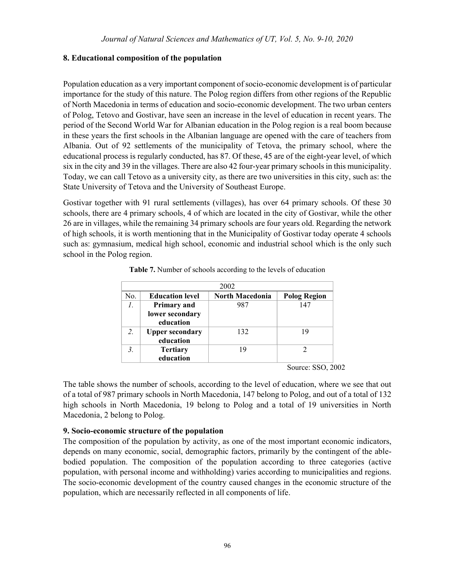## 8. Educational composition of the population

 Population education as a very important component of socio-economic development is of particular importance for the study of this nature. The Polog region differs from other regions of the Republic of North Macedonia in terms of education and socio-economic development. The two urban centers of Polog, Tetovo and Gostivar, have seen an increase in the level of education in recent years. The period of the Second World War for Albanian education in the Polog region is a real boom because in these years the first schools in the Albanian language are opened with the care of teachers from Albania. Out of 92 settlements of the municipality of Tetova, the primary school, where the educational process is regularly conducted, has 87. Of these, 45 are of the eight-year level, of which six in the city and 39 in the villages. There are also 42 four-year primary schools in this municipality. Today, we can call Tetovo as a university city, as there are two universities in this city, such as: the State University of Tetova and the University of Southeast Europe.

Gostivar together with 91 rural settlements (villages), has over 64 primary schools. Of these 30 schools, there are 4 primary schools, 4 of which are located in the city of Gostivar, while the other 26 are in villages, while the remaining 34 primary schools are four years old. Regarding the network of high schools, it is worth mentioning that in the Municipality of Gostivar today operate 4 schools such as: gymnasium, medical high school, economic and industrial school which is the only such school in the Polog region.

|     |                        | 2002                   |                     |
|-----|------------------------|------------------------|---------------------|
| No. | <b>Education level</b> | <b>North Macedonia</b> | <b>Polog Region</b> |
| 1.  | <b>Primary and</b>     | 987                    | 147                 |
|     | lower secondary        |                        |                     |
|     | education              |                        |                     |
| 2.  | <b>Upper secondary</b> | 132                    | 19                  |
|     | education              |                        |                     |
|     | <b>Tertiary</b>        | 19                     |                     |
|     | education              |                        |                     |

Table 7. Number of schools according to the levels of education

Source: SSO, 2002

The table shows the number of schools, according to the level of education, where we see that out of a total of 987 primary schools in North Macedonia, 147 belong to Polog, and out of a total of 132 high schools in North Macedonia, 19 belong to Polog and a total of 19 universities in North Macedonia, 2 belong to Polog.

## 9. Socio-economic structure of the population

The composition of the population by activity, as one of the most important economic indicators, depends on many economic, social, demographic factors, primarily by the contingent of the ablebodied population. The composition of the population according to three categories (active population, with personal income and withholding) varies according to municipalities and regions. The socio-economic development of the country caused changes in the economic structure of the population, which are necessarily reflected in all components of life.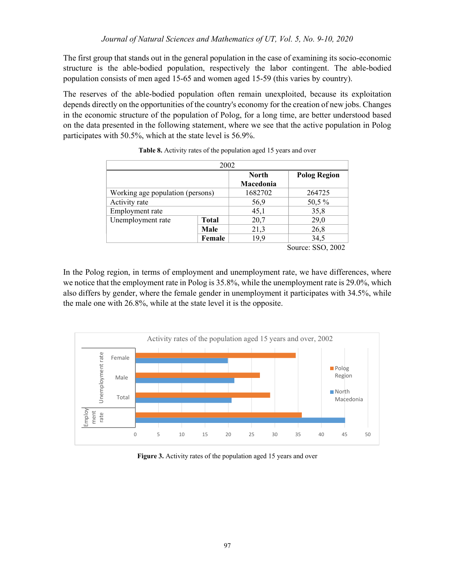The first group that stands out in the general population in the case of examining its socio-economic structure is the able-bodied population, respectively the labor contingent. The able-bodied population consists of men aged 15-65 and women aged 15-59 (this varies by country).

The reserves of the able-bodied population often remain unexploited, because its exploitation depends directly on the opportunities of the country's economy for the creation of new jobs. Changes in the economic structure of the population of Polog, for a long time, are better understood based on the data presented in the following statement, where we see that the active population in Polog participates with 50.5%, which at the state level is 56.9%.

| 2002                             |              |              |                     |  |  |  |  |
|----------------------------------|--------------|--------------|---------------------|--|--|--|--|
|                                  |              | <b>North</b> | <b>Polog Region</b> |  |  |  |  |
|                                  |              | Macedonia    |                     |  |  |  |  |
| Working age population (persons) |              | 1682702      | 264725              |  |  |  |  |
| Activity rate                    |              | 56,9         | 50,5 %              |  |  |  |  |
| Employment rate                  |              | 45,1         | 35,8                |  |  |  |  |
| Unemployment rate                | <b>Total</b> | 20,7         | 29,0                |  |  |  |  |
|                                  | Male         | 21,3         | 26,8                |  |  |  |  |
|                                  | Female       | 19,9         | 34,5                |  |  |  |  |
|                                  |              |              | Source: SSO, 2002   |  |  |  |  |

In the Polog region, in terms of employment and unemployment rate, we have differences, where we notice that the employment rate in Polog is 35.8%, while the unemployment rate is 29.0%, which also differs by gender, where the female gender in unemployment it participates with 34.5%, while the male one with 26.8%, while at the state level it is the opposite.



Figure 3. Activity rates of the population aged 15 years and over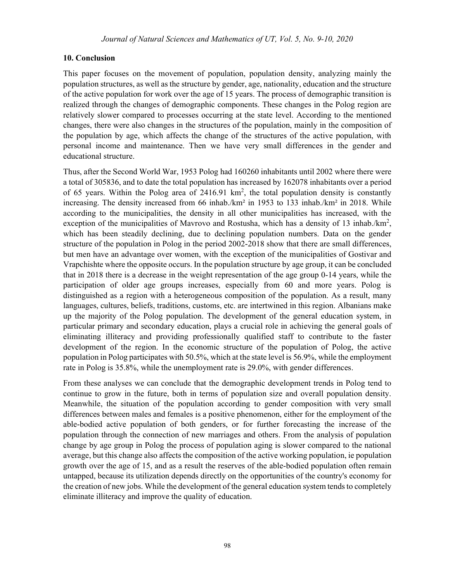## 10. Conclusion

This paper focuses on the movement of population, population density, analyzing mainly the population structures, as well as the structure by gender, age, nationality, education and the structure of the active population for work over the age of 15 years. The process of demographic transition is realized through the changes of demographic components. These changes in the Polog region are relatively slower compared to processes occurring at the state level. According to the mentioned changes, there were also changes in the structures of the population, mainly in the composition of the population by age, which affects the change of the structures of the active population, with personal income and maintenance. Then we have very small differences in the gender and educational structure.

Thus, after the Second World War, 1953 Polog had 160260 inhabitants until 2002 where there were a total of 305836, and to date the total population has increased by 162078 inhabitants over a period of 65 years. Within the Polog area of  $2416.91 \text{ km}^2$ , the total population density is constantly increasing. The density increased from 66 inhab./km<sup>2</sup> in 1953 to 133 inhab./km<sup>2</sup> in 2018. While according to the municipalities, the density in all other municipalities has increased, with the exception of the municipalities of Mavrovo and Rostusha, which has a density of 13 inhab./km<sup>2</sup>, which has been steadily declining, due to declining population numbers. Data on the gender structure of the population in Polog in the period 2002-2018 show that there are small differences, but men have an advantage over women, with the exception of the municipalities of Gostivar and Vrapchishte where the opposite occurs. In the population structure by age group, it can be concluded that in 2018 there is a decrease in the weight representation of the age group 0-14 years, while the participation of older age groups increases, especially from 60 and more years. Polog is distinguished as a region with a heterogeneous composition of the population. As a result, many languages, cultures, beliefs, traditions, customs, etc. are intertwined in this region. Albanians make up the majority of the Polog population. The development of the general education system, in particular primary and secondary education, plays a crucial role in achieving the general goals of eliminating illiteracy and providing professionally qualified staff to contribute to the faster development of the region. In the economic structure of the population of Polog, the active population in Polog participates with 50.5%, which at the state level is 56.9%, while the employment rate in Polog is 35.8%, while the unemployment rate is 29.0%, with gender differences.

From these analyses we can conclude that the demographic development trends in Polog tend to continue to grow in the future, both in terms of population size and overall population density. Meanwhile, the situation of the population according to gender composition with very small differences between males and females is a positive phenomenon, either for the employment of the able-bodied active population of both genders, or for further forecasting the increase of the population through the connection of new marriages and others. From the analysis of population change by age group in Polog the process of population aging is slower compared to the national average, but this change also affects the composition of the active working population, ie population growth over the age of 15, and as a result the reserves of the able-bodied population often remain untapped, because its utilization depends directly on the opportunities of the country's economy for the creation of new jobs. While the development of the general education system tends to completely eliminate illiteracy and improve the quality of education.